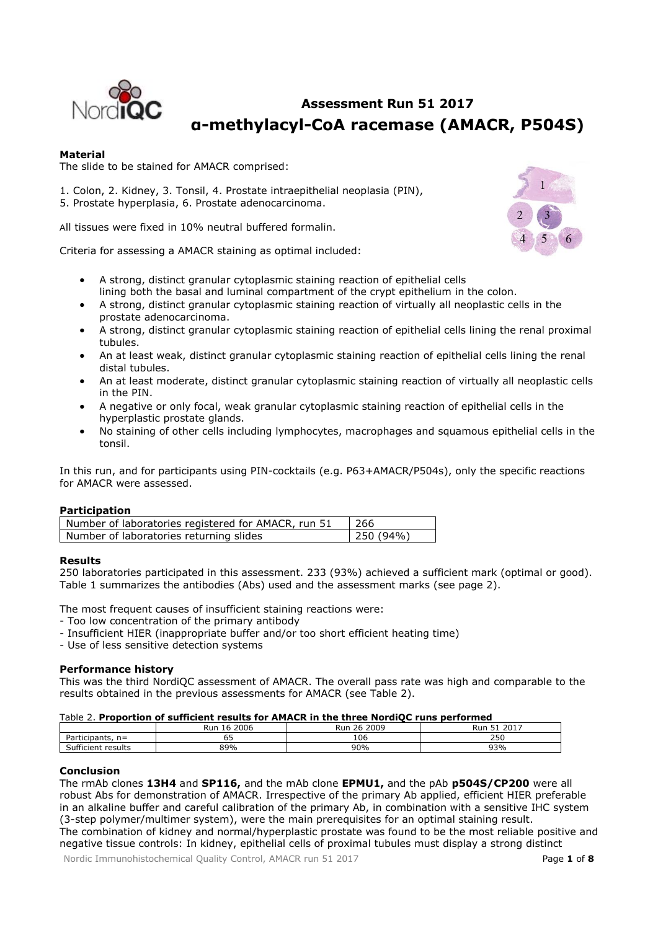

# **Assessment Run 51 2017 α-methylacyl-CoA racemase (AMACR, P504S)**

# **Material**

The slide to be stained for AMACR comprised:

1. Colon, 2. Kidney, 3. Tonsil, 4. Prostate intraepithelial neoplasia (PIN), 5. Prostate hyperplasia, 6. Prostate adenocarcinoma.

All tissues were fixed in 10% neutral buffered formalin.

Criteria for assessing a AMACR staining as optimal included:

- A strong, distinct granular cytoplasmic staining reaction of epithelial cells lining both the basal and luminal compartment of the crypt epithelium in the colon.
- A strong, distinct granular cytoplasmic staining reaction of virtually all neoplastic cells in the prostate adenocarcinoma.
- A strong, distinct granular cytoplasmic staining reaction of epithelial cells lining the renal proximal tubules.
- An at least weak, distinct granular cytoplasmic staining reaction of epithelial cells lining the renal distal tubules.
- An at least moderate, distinct granular cytoplasmic staining reaction of virtually all neoplastic cells in the PIN.
- A negative or only focal, weak granular cytoplasmic staining reaction of epithelial cells in the hyperplastic prostate glands.
- No staining of other cells including lymphocytes, macrophages and squamous epithelial cells in the tonsil.

In this run, and for participants using PIN-cocktails (e.g. P63+AMACR/P504s), only the specific reactions for AMACR were assessed.

# **Participation**

| Number of laboratories registered for AMACR, run 51 | 1266     |
|-----------------------------------------------------|----------|
| Number of laboratories returning slides             | 250(94%) |

# **Results**

250 laboratories participated in this assessment. 233 (93%) achieved a sufficient mark (optimal or good). Table 1 summarizes the antibodies (Abs) used and the assessment marks (see page 2).

The most frequent causes of insufficient staining reactions were:

- Too low concentration of the primary antibody
- Insufficient HIER (inappropriate buffer and/or too short efficient heating time)
- Use of less sensitive detection systems

# **Performance history**

This was the third NordiQC assessment of AMACR. The overall pass rate was high and comparable to the results obtained in the previous assessments for AMACR (see Table 2).

#### Table 2. **Proportion of sufficient results for AMACR in the three NordiQC runs performed**

|                                                             | 2006<br>Run<br>ŦО | 2009<br>--<br>26<br>Rur | 2017<br>Rur<br>ZU1,<br>ັ |
|-------------------------------------------------------------|-------------------|-------------------------|--------------------------|
| -<br>articipants,<br>$-$<br>. .                             | ı<br>◡-           | 106                     | 250                      |
| $\sim$<br>$\overline{\phantom{a}}$<br>results<br>Sufficient | 89%               | 90%                     | 93%                      |

#### **Conclusion**

The rmAb clones **13H4** and **SP116,** and the mAb clone **EPMU1,** and the pAb **p504S/CP200** were all robust Abs for demonstration of AMACR. Irrespective of the primary Ab applied, efficient HIER preferable in an alkaline buffer and careful calibration of the primary Ab, in combination with a sensitive IHC system (3-step polymer/multimer system), were the main prerequisites for an optimal staining result. The combination of kidney and normal/hyperplastic prostate was found to be the most reliable positive and

negative tissue controls: In kidney, epithelial cells of proximal tubules must display a strong distinct

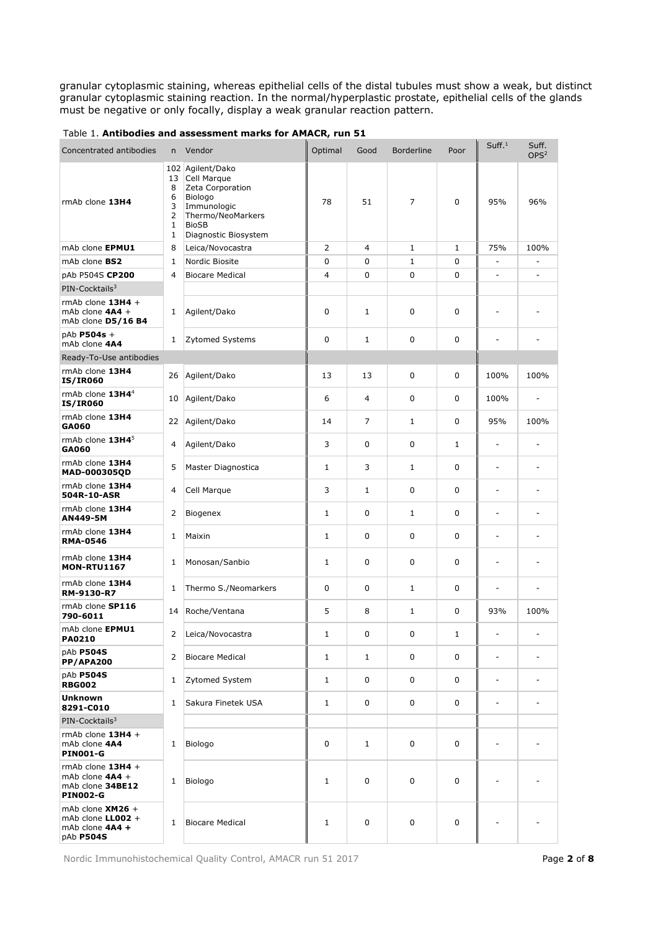granular cytoplasmic staining, whereas epithelial cells of the distal tubules must show a weak, but distinct granular cytoplasmic staining reaction. In the normal/hyperplastic prostate, epithelial cells of the glands must be negative or only focally, display a weak granular reaction pattern.

| Concentrated antibodies                                                         | n                                                               | Vendor                                                                                                                                 | Optimal      | Good           | <b>Borderline</b> | Poor         | Suff. <sup>1</sup> | Suff.<br>OPS <sup>2</sup> |
|---------------------------------------------------------------------------------|-----------------------------------------------------------------|----------------------------------------------------------------------------------------------------------------------------------------|--------------|----------------|-------------------|--------------|--------------------|---------------------------|
| rmAb clone 13H4                                                                 | 102<br>13<br>8<br>6<br>3<br>$\overline{2}$<br>$\mathbf{1}$<br>1 | Agilent/Dako<br>Cell Marque<br>Zeta Corporation<br>Biologo<br>Immunologic<br>Thermo/NeoMarkers<br><b>BioSB</b><br>Diagnostic Biosystem | 78           | 51             | 7                 | 0            | 95%                | 96%                       |
| mAb clone EPMU1                                                                 | 8                                                               | Leica/Novocastra                                                                                                                       | 2            | 4              | $\mathbf{1}$      | 1            | 75%                | 100%                      |
| mAb clone BS2                                                                   | 1                                                               | Nordic Biosite                                                                                                                         | 0            | 0              | $\mathbf{1}$      | 0            | L,                 |                           |
| pAb P504S CP200                                                                 | 4                                                               | <b>Biocare Medical</b>                                                                                                                 | 4            | 0              | 0                 | 0            | -                  | $\overline{a}$            |
| PIN-Cocktails <sup>3</sup>                                                      |                                                                 |                                                                                                                                        |              |                |                   |              |                    |                           |
| rmAb clone $13H4 +$<br>mAb clone 4A4 +<br>mAb clone D5/16 B4                    | 1                                                               | Agilent/Dako                                                                                                                           | 0            | $\mathbf{1}$   | 0                 | 0            |                    |                           |
| pAb P504s +<br>mAb clone 4A4                                                    | 1                                                               | <b>Zytomed Systems</b>                                                                                                                 | 0            | $\mathbf{1}$   | $\mathbf 0$       | 0            | ۰                  | ٠                         |
| Ready-To-Use antibodies                                                         |                                                                 |                                                                                                                                        |              |                |                   |              |                    |                           |
| rmAb clone 13H4<br><b>IS/IR060</b>                                              | 26                                                              | Agilent/Dako                                                                                                                           | 13           | 13             | $\mathbf 0$       | 0            | 100%               | 100%                      |
| rmAb clone 13H4 <sup>4</sup><br><b>IS/IR060</b>                                 | 10                                                              | Agilent/Dako                                                                                                                           | 6            | 4              | 0                 | 0            | 100%               | ÷,                        |
| rmAb clone 13H4<br>GA060                                                        | 22                                                              | Agilent/Dako                                                                                                                           | 14           | $\overline{7}$ | $\mathbf{1}$      | 0            | 95%                | 100%                      |
| rmAb clone $13H45$<br>GA060                                                     | 4                                                               | Agilent/Dako                                                                                                                           | 3            | 0              | 0                 | $\mathbf{1}$ | ÷                  |                           |
| rmAb clone 13H4<br>MAD-000305QD                                                 | 5                                                               | Master Diagnostica                                                                                                                     | $\mathbf{1}$ | 3              | $\mathbf{1}$      | 0            | ÷,                 |                           |
| rmAb clone 13H4<br>504R-10-ASR                                                  | 4                                                               | Cell Marque                                                                                                                            | 3            | $\mathbf{1}$   | $\mathbf 0$       | 0            | ÷                  | ÷,                        |
| rmAb clone 13H4<br>AN449-5M                                                     | 2                                                               | Biogenex                                                                                                                               | 1            | 0              | 1                 | 0            | ٠                  | ٠                         |
| rmAb clone 13H4<br><b>RMA-0546</b>                                              | 1                                                               | Maixin                                                                                                                                 | 1            | 0              | $\mathbf 0$       | $\Omega$     | ÷,                 | ÷,                        |
| rmAb clone 13H4<br><b>MON-RTU1167</b>                                           | 1                                                               | Monosan/Sanbio                                                                                                                         | 1            | 0              | 0                 | $\mathbf 0$  | ٠                  | $\overline{a}$            |
| rmAb clone 13H4<br>RM-9130-R7                                                   | 1                                                               | Thermo S./Neomarkers                                                                                                                   | 0            | 0              | $\mathbf{1}$      | $\mathbf 0$  | ÷                  | ÷,                        |
| rmAb clone SP116<br>790-6011                                                    | 14                                                              | Roche/Ventana                                                                                                                          | 5            | 8              | 1                 | 0            | 93%                | 100%                      |
| mAb clone EPMU1<br>PA0210                                                       | 2                                                               | Leica/Novocastra                                                                                                                       | 1            | 0              | 0                 | 1            |                    |                           |
| pAb P504S<br>PP/APA200                                                          | 2                                                               | <b>Biocare Medical</b>                                                                                                                 | $\mathbf{1}$ | $\mathbf{1}$   | 0                 | 0            | ÷,                 | L,                        |
| pAb P504S<br><b>RBG002</b>                                                      | $\mathbf{1}$                                                    | Zytomed System                                                                                                                         | $\mathbf{1}$ | 0              | 0                 | 0            | ÷                  |                           |
| <b>Unknown</b><br>8291-C010                                                     | $\mathbf{1}$                                                    | Sakura Finetek USA                                                                                                                     | $\mathbf{1}$ | 0              | 0                 | 0            | ÷,                 | $\overline{a}$            |
| PIN-Cocktails <sup>3</sup>                                                      |                                                                 |                                                                                                                                        |              |                |                   |              |                    |                           |
| rmAb clone $13H4 +$<br>mAb clone 4A4<br><b>PIN001-G</b>                         | $\mathbf{1}$                                                    | Biologo                                                                                                                                | 0            | $\mathbf{1}$   | 0                 | 0            |                    |                           |
| rmAb clone $13H4 +$<br>mAb clone $4AA +$<br>mAb clone 34BE12<br><b>PIN002-G</b> | 1                                                               | Biologo                                                                                                                                | 1            | 0              | 0                 | $\mathbf 0$  | ÷                  |                           |
| mAb clone $XM26 +$<br>mAb clone $LL002 +$<br>mAb clone 4A4 +<br>pAb P504S       | $\mathbf{1}$                                                    | <b>Biocare Medical</b>                                                                                                                 | $\mathbf{1}$ | 0              | 0                 | 0            |                    |                           |

|  |  |  | Table 1. Antibodies and assessment marks for AMACR, run 51 |  |  |  |
|--|--|--|------------------------------------------------------------|--|--|--|
|--|--|--|------------------------------------------------------------|--|--|--|

Nordic Immunohistochemical Quality Control, AMACR run 51 2017 **Page 2 of 8**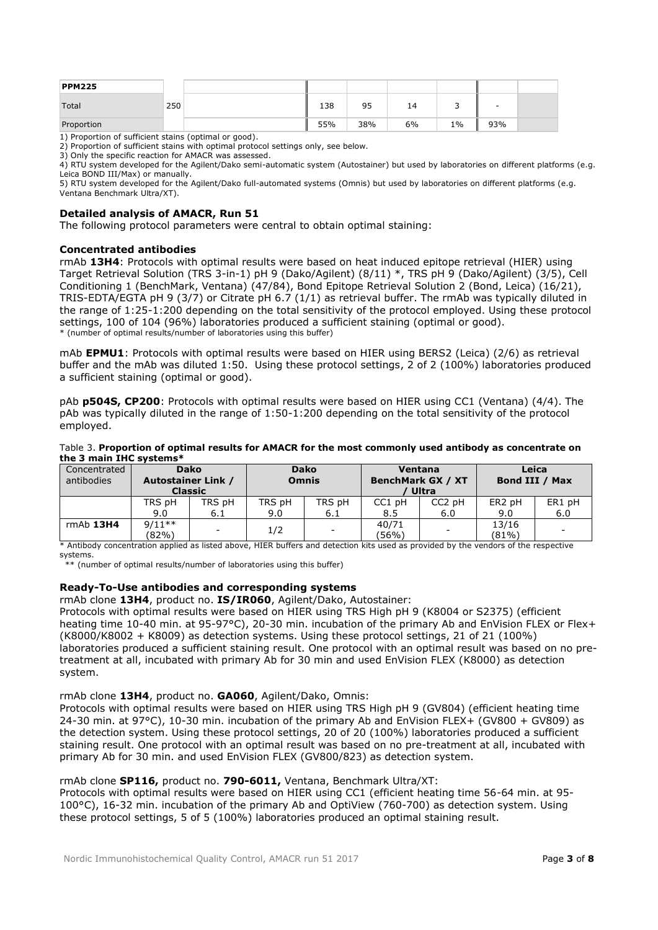| <b>PPM225</b> |     |     |     |    |       |        |  |
|---------------|-----|-----|-----|----|-------|--------|--|
| Total         | 250 | 138 | 95  | 14 | ۔     | $\sim$ |  |
| Proportion    |     | 55% | 38% | 6% | $1\%$ | 93%    |  |

1) Proportion of sufficient stains (optimal or good).

2) Proportion of sufficient stains with optimal protocol settings only, see below.

3) Only the specific reaction for AMACR was assessed.

4) RTU system developed for the Agilent/Dako semi-automatic system (Autostainer) but used by laboratories on different platforms (e.g. Leica BOND III/Max) or manually.

5) RTU system developed for the Agilent/Dako full-automated systems (Omnis) but used by laboratories on different platforms (e.g. Ventana Benchmark Ultra/XT).

#### **Detailed analysis of AMACR, Run 51**

The following protocol parameters were central to obtain optimal staining:

#### **Concentrated antibodies**

rmAb **13H4**: Protocols with optimal results were based on heat induced epitope retrieval (HIER) using Target Retrieval Solution (TRS 3-in-1) pH 9 (Dako/Agilent) (8/11) \*, TRS pH 9 (Dako/Agilent) (3/5), Cell Conditioning 1 (BenchMark, Ventana) (47/84), Bond Epitope Retrieval Solution 2 (Bond, Leica) (16/21), TRIS-EDTA/EGTA pH 9 (3/7) or Citrate pH 6.7 (1/1) as retrieval buffer. The rmAb was typically diluted in the range of 1:25-1:200 depending on the total sensitivity of the protocol employed. Using these protocol settings, 100 of 104 (96%) laboratories produced a sufficient staining (optimal or good). \* (number of optimal results/number of laboratories using this buffer)

mAb **EPMU1**: Protocols with optimal results were based on HIER using BERS2 (Leica) (2/6) as retrieval buffer and the mAb was diluted 1:50. Using these protocol settings, 2 of 2 (100%) laboratories produced a sufficient staining (optimal or good).

pAb **p504S, CP200**: Protocols with optimal results were based on HIER using CC1 (Ventana) (4/4). The pAb was typically diluted in the range of 1:50-1:200 depending on the total sensitivity of the protocol employed.

#### Table 3. **Proportion of optimal results for AMACR for the most commonly used antibody as concentrate on the 3 main IHC systems\***

| <u>ule 5 illulli 1116 979661119</u> |                           |                               |        |                             |                          |                    |                    |        |
|-------------------------------------|---------------------------|-------------------------------|--------|-----------------------------|--------------------------|--------------------|--------------------|--------|
| Concentrated<br>antibodies          | <b>Autostainer Link /</b> | <b>Dako</b><br><b>Classic</b> |        | <b>Dako</b><br><b>Omnis</b> | <b>BenchMark GX / XT</b> | Ventana<br>Ultra   | Bond III / Max     | Leica  |
|                                     | TRS pH                    | TRS pH                        | TRS pH | TRS pH                      | CC1 pH                   | CC <sub>2</sub> pH | ER <sub>2</sub> pH | ER1 pH |
|                                     | 9.0                       | 6.1                           | 9.0    | 6.1                         | 8.5                      | 6.0                | 9.0                | 6.0    |
| $rmAb$ 13H4                         | $9/11**$                  | -                             | 1/2    | $\overline{\phantom{a}}$    | 40/71                    | -                  | 13/16              |        |
|                                     | (82%)                     |                               |        |                             | (56%)                    |                    | $(81\%)$           |        |

\* Antibody concentration applied as listed above, HIER buffers and detection kits used as provided by the vendors of the respective systems.

\*\* (number of optimal results/number of laboratories using this buffer)

# **Ready-To-Use antibodies and corresponding systems**

rmAb clone **13H4**, product no. **IS/IR060**, Agilent/Dako, Autostainer:

Protocols with optimal results were based on HIER using TRS High pH 9 (K8004 or S2375) (efficient heating time 10-40 min. at 95-97°C), 20-30 min. incubation of the primary Ab and EnVision FLEX or Flex+ (K8000/K8002 + K8009) as detection systems. Using these protocol settings, 21 of 21 (100%) laboratories produced a sufficient staining result. One protocol with an optimal result was based on no pretreatment at all, incubated with primary Ab for 30 min and used EnVision FLEX (K8000) as detection system.

#### rmAb clone **13H4**, product no. **GA060**, Agilent/Dako, Omnis:

Protocols with optimal results were based on HIER using TRS High pH 9 (GV804) (efficient heating time 24-30 min. at 97°C), 10-30 min. incubation of the primary Ab and EnVision FLEX+ (GV800 + GV809) as the detection system. Using these protocol settings, 20 of 20 (100%) laboratories produced a sufficient staining result. One protocol with an optimal result was based on no pre-treatment at all, incubated with primary Ab for 30 min. and used EnVision FLEX (GV800/823) as detection system.

# rmAb clone **SP116,** product no. **790-6011,** Ventana, Benchmark Ultra/XT:

Protocols with optimal results were based on HIER using CC1 (efficient heating time 56-64 min. at 95- 100°C), 16-32 min. incubation of the primary Ab and OptiView (760-700) as detection system. Using these protocol settings, 5 of 5 (100%) laboratories produced an optimal staining result.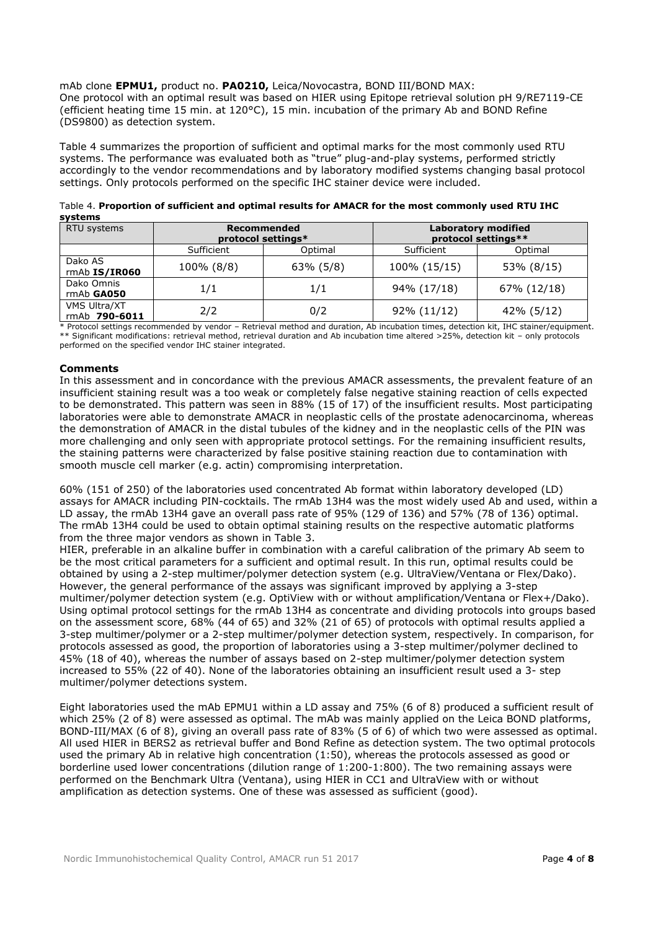mAb clone **EPMU1,** product no. **PA0210,** Leica/Novocastra, BOND III/BOND MAX: One protocol with an optimal result was based on HIER using Epitope retrieval solution pH 9/RE7119-CE

(efficient heating time 15 min. at 120°C), 15 min. incubation of the primary Ab and BOND Refine (DS9800) as detection system.

Table 4 summarizes the proportion of sufficient and optimal marks for the most commonly used RTU systems. The performance was evaluated both as "true" plug-and-play systems, performed strictly accordingly to the vendor recommendations and by laboratory modified systems changing basal protocol settings. Only protocols performed on the specific IHC stainer device were included.

| SYSLEIIIS                     |            |                                          |                                                   |             |  |
|-------------------------------|------------|------------------------------------------|---------------------------------------------------|-------------|--|
| RTU systems                   |            | <b>Recommended</b><br>protocol settings* | <b>Laboratory modified</b><br>protocol settings** |             |  |
|                               | Sufficient | Optimal                                  | Sufficient                                        | Optimal     |  |
| Dako AS<br>rmAb IS/IR060      | 100% (8/8) | 63% (5/8)                                | 100% (15/15)                                      | 53% (8/15)  |  |
| Dako Omnis<br>rmAb GA050      | 1/1        | 1/1                                      | 94% (17/18)                                       | 67% (12/18) |  |
| VMS Ultra/XT<br>rmAb 790-6011 | 2/2        | 0/2                                      | 92% (11/12)                                       | 42% (5/12)  |  |

| Table 4. Proportion of sufficient and optimal results for AMACR for the most commonly used RTU IHC |  |
|----------------------------------------------------------------------------------------------------|--|
| systems                                                                                            |  |

\* Protocol settings recommended by vendor – Retrieval method and duration, Ab incubation times, detection kit, IHC stainer/equipment. \*\* Significant modifications: retrieval method, retrieval duration and Ab incubation time altered >25%, detection kit – only protocols performed on the specified vendor IHC stainer integrated.

# **Comments**

In this assessment and in concordance with the previous AMACR assessments, the prevalent feature of an insufficient staining result was a too weak or completely false negative staining reaction of cells expected to be demonstrated. This pattern was seen in 88% (15 of 17) of the insufficient results. Most participating laboratories were able to demonstrate AMACR in neoplastic cells of the prostate adenocarcinoma, whereas the demonstration of AMACR in the distal tubules of the kidney and in the neoplastic cells of the PIN was more challenging and only seen with appropriate protocol settings. For the remaining insufficient results, the staining patterns were characterized by false positive staining reaction due to contamination with smooth muscle cell marker (e.g. actin) compromising interpretation.

60% (151 of 250) of the laboratories used concentrated Ab format within laboratory developed (LD) assays for AMACR including PIN-cocktails. The rmAb 13H4 was the most widely used Ab and used, within a LD assay, the rmAb 13H4 gave an overall pass rate of 95% (129 of 136) and 57% (78 of 136) optimal. The rmAb 13H4 could be used to obtain optimal staining results on the respective automatic platforms from the three major vendors as shown in Table 3.

HIER, preferable in an alkaline buffer in combination with a careful calibration of the primary Ab seem to be the most critical parameters for a sufficient and optimal result. In this run, optimal results could be obtained by using a 2-step multimer/polymer detection system (e.g. UltraView/Ventana or Flex/Dako). However, the general performance of the assays was significant improved by applying a 3-step multimer/polymer detection system (e.g. OptiView with or without amplification/Ventana or Flex+/Dako). Using optimal protocol settings for the rmAb 13H4 as concentrate and dividing protocols into groups based on the assessment score, 68% (44 of 65) and 32% (21 of 65) of protocols with optimal results applied a 3-step multimer/polymer or a 2-step multimer/polymer detection system, respectively. In comparison, for protocols assessed as good, the proportion of laboratories using a 3-step multimer/polymer declined to 45% (18 of 40), whereas the number of assays based on 2-step multimer/polymer detection system increased to 55% (22 of 40). None of the laboratories obtaining an insufficient result used a 3- step multimer/polymer detections system.

Eight laboratories used the mAb EPMU1 within a LD assay and 75% (6 of 8) produced a sufficient result of which 25% (2 of 8) were assessed as optimal. The mAb was mainly applied on the Leica BOND platforms, BOND-III/MAX (6 of 8), giving an overall pass rate of 83% (5 of 6) of which two were assessed as optimal. All used HIER in BERS2 as retrieval buffer and Bond Refine as detection system. The two optimal protocols used the primary Ab in relative high concentration (1:50), whereas the protocols assessed as good or borderline used lower concentrations (dilution range of 1:200-1:800). The two remaining assays were performed on the Benchmark Ultra (Ventana), using HIER in CC1 and UltraView with or without amplification as detection systems. One of these was assessed as sufficient (good).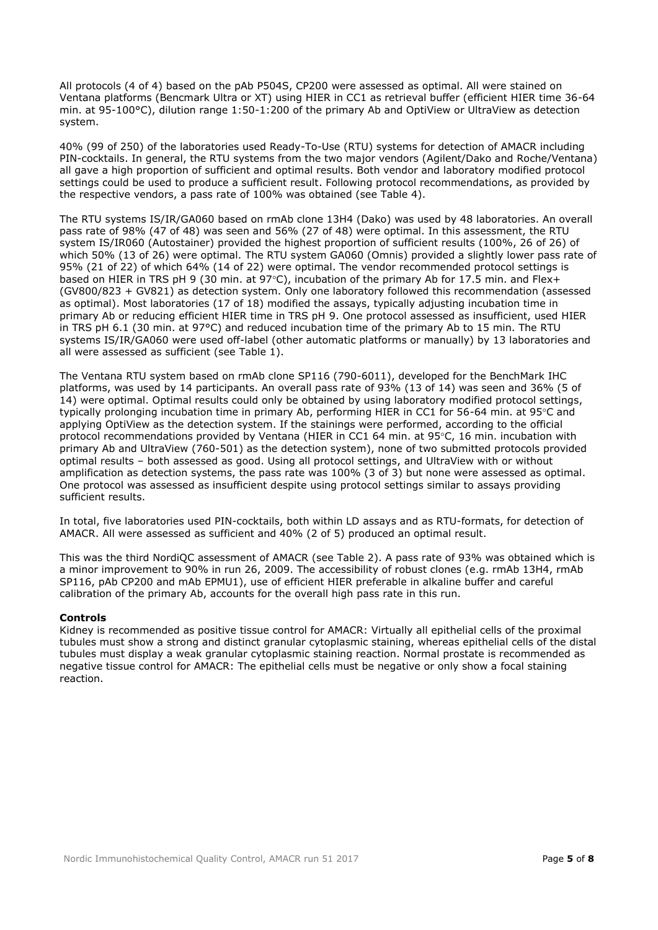All protocols (4 of 4) based on the pAb P504S, CP200 were assessed as optimal. All were stained on Ventana platforms (Bencmark Ultra or XT) using HIER in CC1 as retrieval buffer (efficient HIER time 36-64 min. at 95-100°C), dilution range 1:50-1:200 of the primary Ab and OptiView or UltraView as detection system.

40% (99 of 250) of the laboratories used Ready-To-Use (RTU) systems for detection of AMACR including PIN-cocktails. In general, the RTU systems from the two major vendors (Agilent/Dako and Roche/Ventana) all gave a high proportion of sufficient and optimal results. Both vendor and laboratory modified protocol settings could be used to produce a sufficient result. Following protocol recommendations, as provided by the respective vendors, a pass rate of 100% was obtained (see Table 4).

The RTU systems IS/IR/GA060 based on rmAb clone 13H4 (Dako) was used by 48 laboratories. An overall pass rate of 98% (47 of 48) was seen and 56% (27 of 48) were optimal. In this assessment, the RTU system IS/IR060 (Autostainer) provided the highest proportion of sufficient results (100%, 26 of 26) of which 50% (13 of 26) were optimal. The RTU system GA060 (Omnis) provided a slightly lower pass rate of 95% (21 of 22) of which 64% (14 of 22) were optimal. The vendor recommended protocol settings is based on HIER in TRS pH 9 (30 min. at 97°C), incubation of the primary Ab for 17.5 min. and Flex+ (GV800/823 + GV821) as detection system. Only one laboratory followed this recommendation (assessed as optimal). Most laboratories (17 of 18) modified the assays, typically adjusting incubation time in primary Ab or reducing efficient HIER time in TRS pH 9. One protocol assessed as insufficient, used HIER in TRS pH 6.1 (30 min. at 97°C) and reduced incubation time of the primary Ab to 15 min. The RTU systems IS/IR/GA060 were used off-label (other automatic platforms or manually) by 13 laboratories and all were assessed as sufficient (see Table 1).

The Ventana RTU system based on rmAb clone SP116 (790-6011), developed for the BenchMark IHC platforms, was used by 14 participants. An overall pass rate of 93% (13 of 14) was seen and 36% (5 of 14) were optimal. Optimal results could only be obtained by using laboratory modified protocol settings, typically prolonging incubation time in primary Ab, performing HIER in CC1 for 56-64 min. at  $95^{\circ}$ C and applying OptiView as the detection system. If the stainings were performed, according to the official protocol recommendations provided by Ventana (HIER in CC1 64 min. at 95 $\degree$ C, 16 min. incubation with primary Ab and UltraView (760-501) as the detection system), none of two submitted protocols provided optimal results – both assessed as good. Using all protocol settings, and UltraView with or without amplification as detection systems, the pass rate was 100% (3 of 3) but none were assessed as optimal. One protocol was assessed as insufficient despite using protocol settings similar to assays providing sufficient results.

In total, five laboratories used PIN-cocktails, both within LD assays and as RTU-formats, for detection of AMACR. All were assessed as sufficient and 40% (2 of 5) produced an optimal result.

This was the third NordiQC assessment of AMACR (see Table 2). A pass rate of 93% was obtained which is a minor improvement to 90% in run 26, 2009. The accessibility of robust clones (e.g. rmAb 13H4, rmAb SP116, pAb CP200 and mAb EPMU1), use of efficient HIER preferable in alkaline buffer and careful calibration of the primary Ab, accounts for the overall high pass rate in this run.

#### **Controls**

Kidney is recommended as positive tissue control for AMACR: Virtually all epithelial cells of the proximal tubules must show a strong and distinct granular cytoplasmic staining, whereas epithelial cells of the distal tubules must display a weak granular cytoplasmic staining reaction. Normal prostate is recommended as negative tissue control for AMACR: The epithelial cells must be negative or only show a focal staining reaction.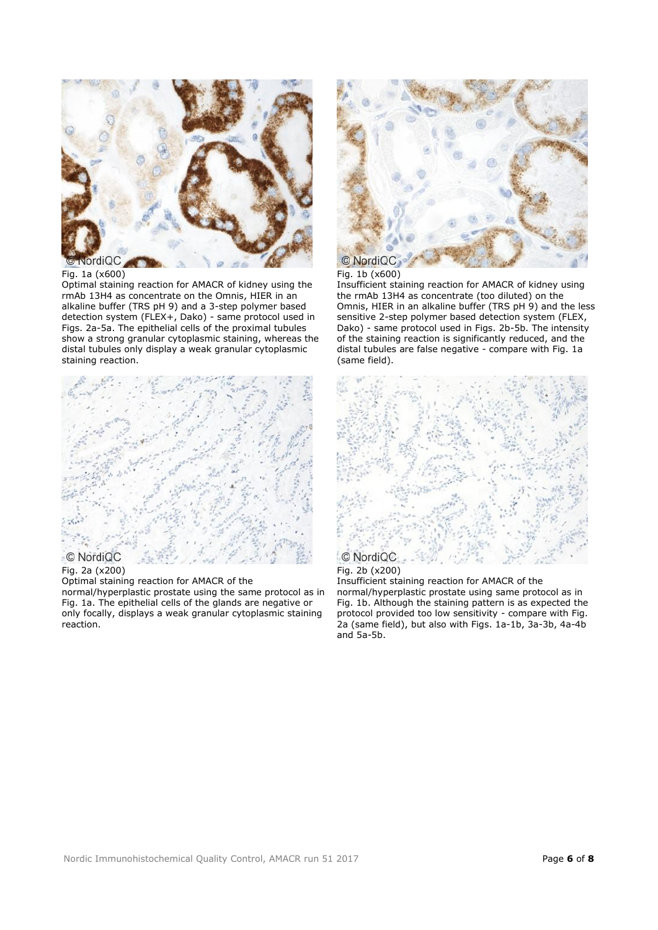

Fig. 1a (x600)

Optimal staining reaction for AMACR of kidney using the rmAb 13H4 as concentrate on the Omnis, HIER in an alkaline buffer (TRS pH 9) and a 3-step polymer based detection system (FLEX+, Dako) - same protocol used in Figs. 2a-5a. The epithelial cells of the proximal tubules show a strong granular cytoplasmic staining, whereas the distal tubules only display a weak granular cytoplasmic staining reaction.



#### Fig. 2a (x200)

Optimal staining reaction for AMACR of the

normal/hyperplastic prostate using the same protocol as in Fig. 1a. The epithelial cells of the glands are negative or only focally, displays a weak granular cytoplasmic staining reaction.



# Fig. 1b (x600)

Insufficient staining reaction for AMACR of kidney using the rmAb 13H4 as concentrate (too diluted) on the Omnis, HIER in an alkaline buffer (TRS pH 9) and the less sensitive 2-step polymer based detection system (FLEX, Dako) - same protocol used in Figs. 2b-5b. The intensity of the staining reaction is significantly reduced, and the distal tubules are false negative - compare with Fig. 1a (same field).



#### Fig. 2b (x200)

Insufficient staining reaction for AMACR of the normal/hyperplastic prostate using same protocol as in Fig. 1b. Although the staining pattern is as expected the protocol provided too low sensitivity - compare with Fig. 2a (same field), but also with Figs. 1a-1b, 3a-3b, 4a-4b and 5a-5b.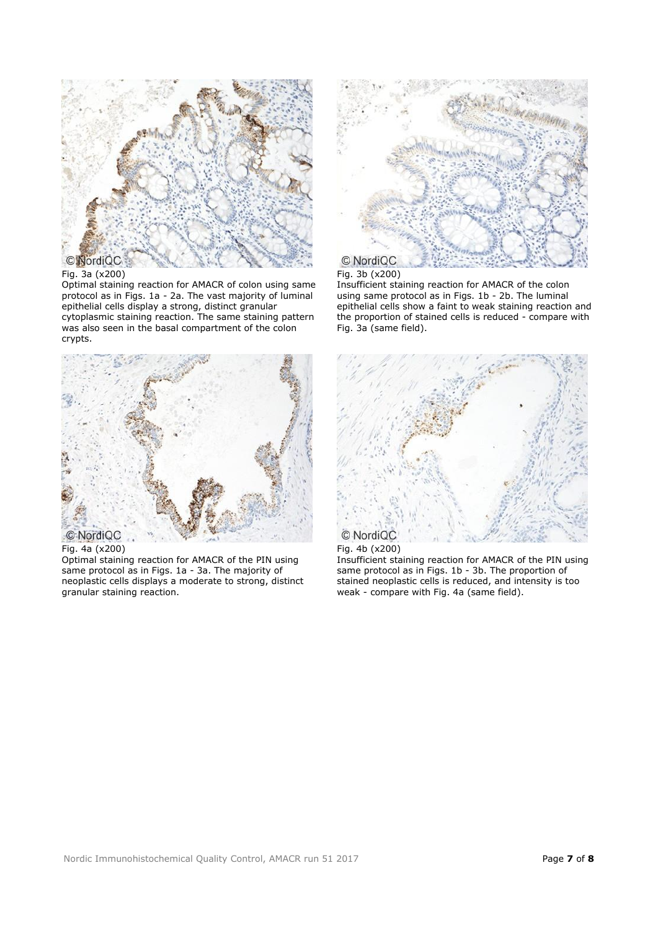

# Fig. 3a (x200)

Optimal staining reaction for AMACR of colon using same protocol as in Figs. 1a - 2a. The vast majority of luminal epithelial cells display a strong, distinct granular cytoplasmic staining reaction. The same staining pattern was also seen in the basal compartment of the colon crypts.



Fig. 4a (x200)

Optimal staining reaction for AMACR of the PIN using same protocol as in Figs. 1a - 3a. The majority of neoplastic cells displays a moderate to strong, distinct granular staining reaction.



# Fig. 3b (x200)

Insufficient staining reaction for AMACR of the colon using same protocol as in Figs. 1b - 2b. The luminal epithelial cells show a faint to weak staining reaction and the proportion of stained cells is reduced - compare with Fig. 3a (same field).



Fig. 4b (x200) Insufficient staining reaction for AMACR of the PIN using

same protocol as in Figs. 1b - 3b. The proportion of stained neoplastic cells is reduced, and intensity is too weak - compare with Fig. 4a (same field).